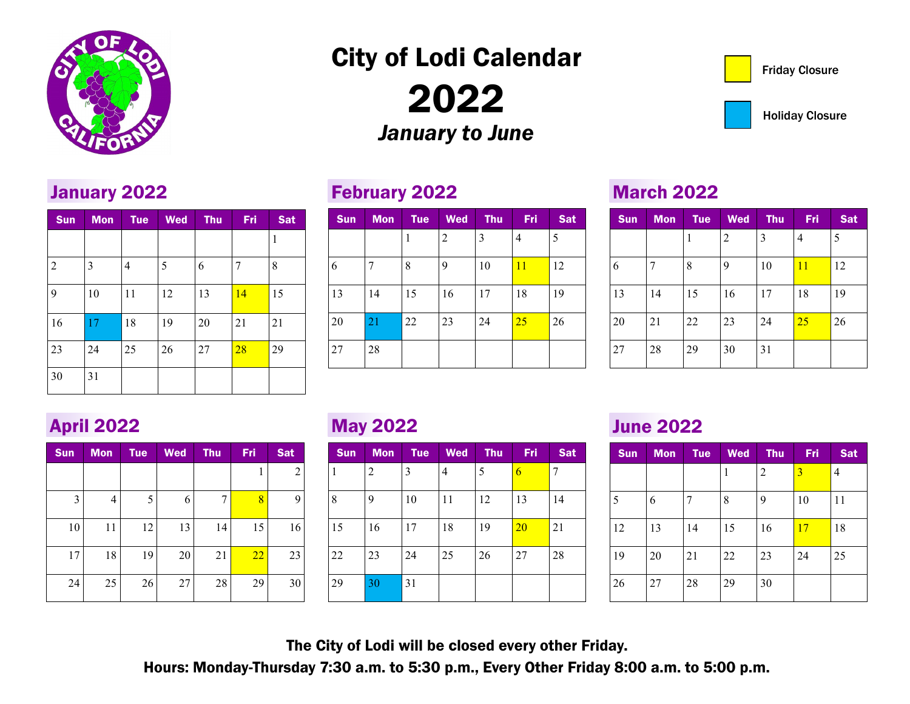

January 2022

## City of Lodi Calendar

2022 *January to June*

### February 2022

| <b>Sun</b> | <b>Mon</b> | Tue | <b>Wed</b>     | <b>Thu</b> | Fri | <b>Sat</b> |
|------------|------------|-----|----------------|------------|-----|------------|
|            |            | 1   | $\overline{2}$ | 3          | 4   | 5          |
| 6          |            | 8   | 9              | 10         | 11  | 12         |
| 13         | 14         | 15  | 16             | 17         | 18  | 19         |
| 20         | 21         | 22  | 23             | 24         | 25  | 26         |
| 27         | 28         |     |                |            |     |            |

#### March 2022

| <b>Sun</b> | <b>Mon</b> | <b>Tue</b> | <b>Wed</b> | Thu | Fri, | <b>Sat</b> |
|------------|------------|------------|------------|-----|------|------------|
|            |            | 1          | 2          | 3   | 4    | 5          |
| 6          | 7          | 8          | 9          | 10  | 11   | 12         |
| 13         | 14         | 15         | 16         | 17  | 18   | 19         |
| 20         | 21         | 22         | 23         | 24  | 25   | 26         |
| 27         | 28         | 29         | 30         | 31  |      |            |

## April 2022

30 31

| <b>Sun</b> | <b>Mon</b> | <b>Tue</b> | <b>Wed</b> | <b>Thu</b> | Fri | <b>Sat</b>     |
|------------|------------|------------|------------|------------|-----|----------------|
|            |            |            |            |            | 1   | $\overline{c}$ |
| 3          | 4          | 5          | 6          | 7          | 8   | 9              |
| 10         | 11         | 12         | 13         | 14         | 15  | 16             |
| 17         | 18         | 19         | 20         | 21         | 22  | 23             |
| 24         | 25         | 26         | 27         | 28         | 29  | 30             |

Sun Mon Tue Wed Thu Fri Sat

2 3 4 5 6 7 8

9 | 10 | 11 | 12 | 13 <mark>14 |</mark> 15

16 17 18 19 20 21 21

23 24 25 26 27 <mark>28 29</mark>

1

## May 2022

| <b>Sun</b> | <b>Mon</b> | <b>Tue</b> | <b>Wed</b> | <b>Thu</b> | Fri | <b>Sat</b> |
|------------|------------|------------|------------|------------|-----|------------|
| 1          | 2          | 3          | 4          | 5          | 6   | 7          |
| 8          | 9          | 10         | 11         | 12         | 13  | 14         |
| 15         | 16         | 17         | 18         | 19         | 20  | 21         |
| 22         | 23         | 24         | 25         | 26         | 27  | 28         |
| 29         | 30         | 31         |            |            |     |            |

### June 2022

| <b>Sun</b> | <b>Mon</b> | <b>Tue</b> | <b>Wed</b> | Thu | Fri | <b>Sat</b>     |
|------------|------------|------------|------------|-----|-----|----------------|
|            |            |            | 1          | 2   | 3   | $\overline{4}$ |
| 5          | 6          | 7          | 8          | 9   | 10  | 11             |
| 12         | 13         | 14         | 15         | 16  | 17  | 18             |
| 19         | 20         | 21         | 22         | 23  | 24  | 25             |
| 26         | 27         | 28         | 29         | 30  |     |                |

The City of Lodi will be closed every other Friday.

Hours: Monday-Thursday 7:30 a.m. to 5:30 p.m., Every Other Friday 8:00 a.m. to 5:00 p.m.